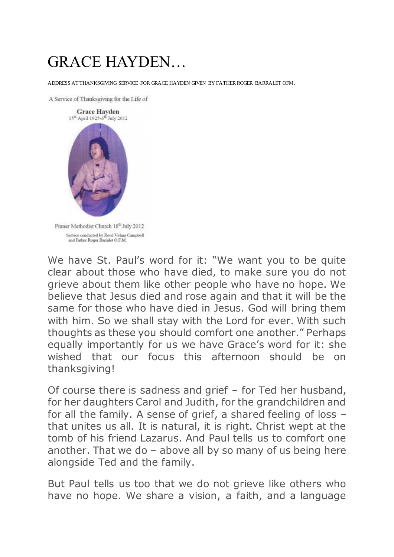## GRACE HAYDEN…

ADDRESS AT THANKSGIVING SERVICE FOR GRACE HAYDEN GIVEN BY FATHER ROGER BARRALET OFM.

A Service of Thanksgiving for the Life of



We have St. Paul's word for it: "We want you to be quite clear about those who have died, to make sure you do not grieve about them like other people who have no hope. We believe that Jesus died and rose again and that it will be the same for those who have died in Jesus. God will bring them with him. So we shall stay with the Lord for ever. With such thoughts as these you should comfort one another." Perhaps equally importantly for us we have Grace's word for it: she wished that our focus this afternoon should be on thanksgiving!

Of course there is sadness and grief – for Ted her husband, for her daughters Carol and Judith, for the grandchildren and for all the family. A sense of grief, a shared feeling of loss – that unites us all. It is natural, it is right. Christ wept at the tomb of his friend Lazarus. And Paul tells us to comfort one another. That we do – above all by so many of us being here alongside Ted and the family.

But Paul tells us too that we do not grieve like others who have no hope. We share a vision, a faith, and a language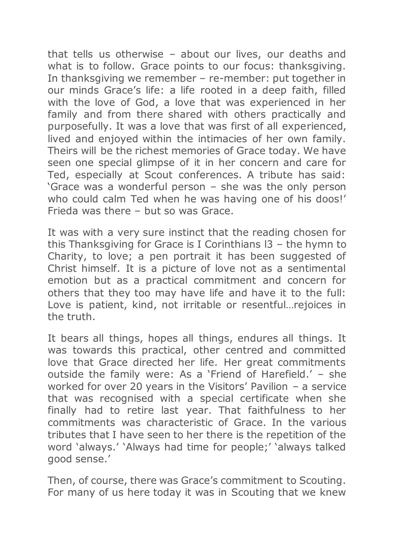that tells us otherwise – about our lives, our deaths and what is to follow. Grace points to our focus: thanksgiving. In thanksgiving we remember – re-member: put together in our minds Grace's life: a life rooted in a deep faith, filled with the love of God, a love that was experienced in her family and from there shared with others practically and purposefully. It was a love that was first of all experienced, lived and enjoyed within the intimacies of her own family. Theirs will be the richest memories of Grace today. We have seen one special glimpse of it in her concern and care for Ted, especially at Scout conferences. A tribute has said: 'Grace was a wonderful person – she was the only person who could calm Ted when he was having one of his doos!' Frieda was there – but so was Grace.

It was with a very sure instinct that the reading chosen for this Thanksgiving for Grace is I Corinthians l3 – the hymn to Charity, to love; a pen portrait it has been suggested of Christ himself. It is a picture of love not as a sentimental emotion but as a practical commitment and concern for others that they too may have life and have it to the full: Love is patient, kind, not irritable or resentful…rejoices in the truth.

It bears all things, hopes all things, endures all things. It was towards this practical, other centred and committed love that Grace directed her life. Her great commitments outside the family were: As a 'Friend of Harefield.' – she worked for over 20 years in the Visitors' Pavilion – a service that was recognised with a special certificate when she finally had to retire last year. That faithfulness to her commitments was characteristic of Grace. In the various tributes that I have seen to her there is the repetition of the word 'always.' 'Always had time for people;' 'always talked good sense.'

Then, of course, there was Grace's commitment to Scouting. For many of us here today it was in Scouting that we knew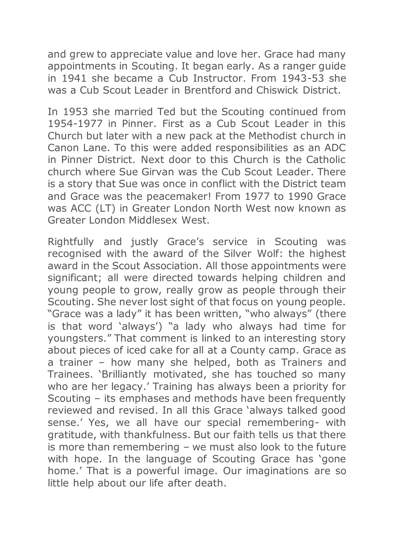and grew to appreciate value and love her. Grace had many appointments in Scouting. It began early. As a ranger guide in 1941 she became a Cub Instructor. From 1943-53 she was a Cub Scout Leader in Brentford and Chiswick District.

In 1953 she married Ted but the Scouting continued from 1954-1977 in Pinner. First as a Cub Scout Leader in this Church but later with a new pack at the Methodist church in Canon Lane. To this were added responsibilities as an ADC in Pinner District. Next door to this Church is the Catholic church where Sue Girvan was the Cub Scout Leader. There is a story that Sue was once in conflict with the District team and Grace was the peacemaker! From 1977 to 1990 Grace was ACC (LT) in Greater London North West now known as Greater London Middlesex West.

Rightfully and justly Grace's service in Scouting was recognised with the award of the Silver Wolf: the highest award in the Scout Association. All those appointments were significant; all were directed towards helping children and young people to grow, really grow as people through their Scouting. She never lost sight of that focus on young people. "Grace was a lady" it has been written, "who always" (there is that word 'always') "a lady who always had time for youngsters." That comment is linked to an interesting story about pieces of iced cake for all at a County camp. Grace as a trainer – how many she helped, both as Trainers and Trainees. 'Brilliantly motivated, she has touched so many who are her legacy.' Training has always been a priority for Scouting – its emphases and methods have been frequently reviewed and revised. In all this Grace 'always talked good sense.' Yes, we all have our special remembering- with gratitude, with thankfulness. But our faith tells us that there is more than remembering – we must also look to the future with hope. In the language of Scouting Grace has 'gone home.' That is a powerful image. Our imaginations are so little help about our life after death.